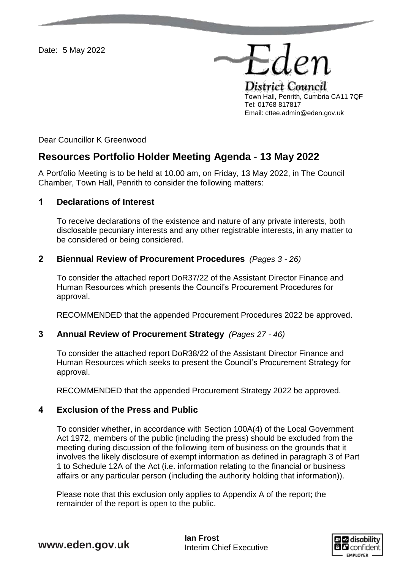Date: 5 May 2022

District Council Town Hall, Penrith, Cumbria CA11 7QF Tel: 01768 817817 Email: cttee.admin@eden.gov.uk

Eder

Dear Councillor K Greenwood

# **Resources Portfolio Holder Meeting Agenda** - **13 May 2022**

A Portfolio Meeting is to be held at 10.00 am, on Friday, 13 May 2022, in The Council Chamber, Town Hall, Penrith to consider the following matters:

## **1 Declarations of Interest**

To receive declarations of the existence and nature of any private interests, both disclosable pecuniary interests and any other registrable interests, in any matter to be considered or being considered.

### **2 Biennual Review of Procurement Procedures** *(Pages 3 - 26)*

To consider the attached report DoR37/22 of the Assistant Director Finance and Human Resources which presents the Council's Procurement Procedures for approval.

RECOMMENDED that the appended Procurement Procedures 2022 be approved.

## **3 Annual Review of Procurement Strategy** *(Pages 27 - 46)*

To consider the attached report DoR38/22 of the Assistant Director Finance and Human Resources which seeks to present the Council's Procurement Strategy for approval.

RECOMMENDED that the appended Procurement Strategy 2022 be approved.

## **4 Exclusion of the Press and Public**

To consider whether, in accordance with Section 100A(4) of the Local Government Act 1972, members of the public (including the press) should be excluded from the meeting during discussion of the following item of business on the grounds that it involves the likely disclosure of exempt information as defined in paragraph 3 of Part 1 to Schedule 12A of the Act (i.e. information relating to the financial or business affairs or any particular person (including the authority holding that information)).

Please note that this exclusion only applies to Appendix A of the report; the remainder of the report is open to the public.

> **Dizi** disability **BB** confident **EMPLOYER**

**www.eden.gov.uk** lan Frost

Interim Chief Executive